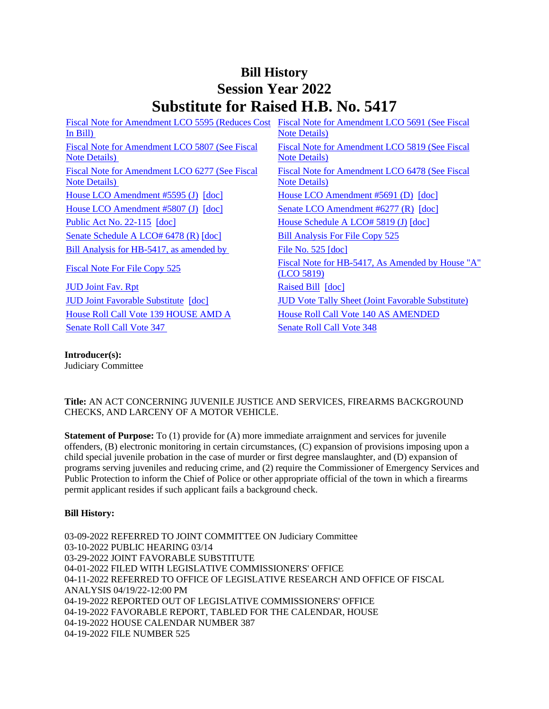# **Bill History Session Year 2022 Substitute for Raised H.B. No. 5417**

| Fiscal Note for Amendment LCO 5595 (Reduces Cost<br>In $Bill$ )         | Fiscal Note for Amendment LCO 5691 (See Fiscal<br><b>Note Details</b> ) |
|-------------------------------------------------------------------------|-------------------------------------------------------------------------|
| Fiscal Note for Amendment LCO 5807 (See Fiscal<br><b>Note Details</b> ) | Fiscal Note for Amendment LCO 5819 (See Fiscal<br><b>Note Details</b> ) |
| Fiscal Note for Amendment LCO 6277 (See Fiscal<br><b>Note Details</b> ) | Fiscal Note for Amendment LCO 6478 (See Fiscal<br><b>Note Details</b> ) |
| House LCO Amendment #5595 (J) [doc]                                     | House LCO Amendment $#5691$ (D) $[doc]$                                 |
| House LCO Amendment #5807 (J) [doc]                                     | Senate LCO Amendment $#6277$ (R) $[doc]$                                |
| Public Act No. $22-115$ [doc]                                           | House Schedule A LCO# 5819 (J) [doc]                                    |
| Senate Schedule A LCO# 6478 (R) [doc]                                   | <b>Bill Analysis For File Copy 525</b>                                  |
| Bill Analysis for HB-5417, as amended by                                | File No. $525$ [doc]                                                    |
| <b>Fiscal Note For File Copy 525</b>                                    | Fiscal Note for HB-5417, As Amended by House "A"<br>(LOO 5819)          |
| <b>JUD Joint Fav. Rpt</b>                                               | Raised Bill [doc]                                                       |
| <b>JUD Joint Favorable Substitute</b> [doc]                             | <b>JUD Vote Tally Sheet (Joint Favorable Substitute)</b>                |
| House Roll Call Vote 139 HOUSE AMD A                                    | <b>House Roll Call Vote 140 AS AMENDED</b>                              |
| <b>Senate Roll Call Vote 347</b>                                        | <b>Senate Roll Call Vote 348</b>                                        |

#### **Introducer(s):**

Judiciary Committee

## **Title:** AN ACT CONCERNING JUVENILE JUSTICE AND SERVICES, FIREARMS BACKGROUND CHECKS, AND LARCENY OF A MOTOR VEHICLE.

**Statement of Purpose:** To (1) provide for (A) more immediate arraignment and services for juvenile offenders, (B) electronic monitoring in certain circumstances, (C) expansion of provisions imposing upon a child special juvenile probation in the case of murder or first degree manslaughter, and (D) expansion of programs serving juveniles and reducing crime, and (2) require the Commissioner of Emergency Services and Public Protection to inform the Chief of Police or other appropriate official of the town in which a firearms permit applicant resides if such applicant fails a background check.

## **Bill History:**

03-09-2022 REFERRED TO JOINT COMMITTEE ON Judiciary Committee 03-10-2022 PUBLIC HEARING 03/14 03-29-2022 JOINT FAVORABLE SUBSTITUTE 04-01-2022 FILED WITH LEGISLATIVE COMMISSIONERS' OFFICE 04-11-2022 REFERRED TO OFFICE OF LEGISLATIVE RESEARCH AND OFFICE OF FISCAL ANALYSIS 04/19/22-12:00 PM 04-19-2022 REPORTED OUT OF LEGISLATIVE COMMISSIONERS' OFFICE 04-19-2022 FAVORABLE REPORT, TABLED FOR THE CALENDAR, HOUSE 04-19-2022 HOUSE CALENDAR NUMBER 387 04-19-2022 FILE NUMBER 525